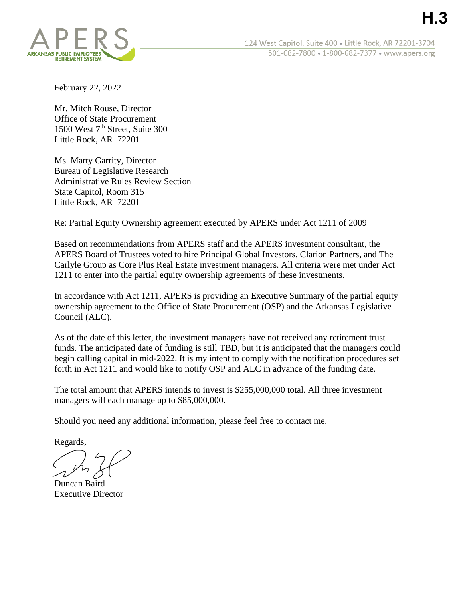

124 West Capitol, Suite 400 · Little Rock, AR 72201-3704 501-682-7800 • 1-800-682-7377 • www.apers.org

February 22, 2022

Mr. Mitch Rouse, Director Office of State Procurement 1500 West 7<sup>th</sup> Street, Suite 300 Little Rock, AR 72201

Ms. Marty Garrity, Director Bureau of Legislative Research Administrative Rules Review Section State Capitol, Room 315 Little Rock, AR 72201

Re: Partial Equity Ownership agreement executed by APERS under Act 1211 of 2009

Based on recommendations from APERS staff and the APERS investment consultant, the APERS Board of Trustees voted to hire Principal Global Investors, Clarion Partners, and The Carlyle Group as Core Plus Real Estate investment managers. All criteria were met under Act 1211 to enter into the partial equity ownership agreements of these investments.

In accordance with Act 1211, APERS is providing an Executive Summary of the partial equity ownership agreement to the Office of State Procurement (OSP) and the Arkansas Legislative Council (ALC).

As of the date of this letter, the investment managers have not received any retirement trust funds. The anticipated date of funding is still TBD, but it is anticipated that the managers could begin calling capital in mid-2022. It is my intent to comply with the notification procedures set forth in Act 1211 and would like to notify OSP and ALC in advance of the funding date.

The total amount that APERS intends to invest is \$255,000,000 total. All three investment managers will each manage up to \$85,000,000.

Should you need any additional information, please feel free to contact me.

Regards,

Duncan Baird Executive Director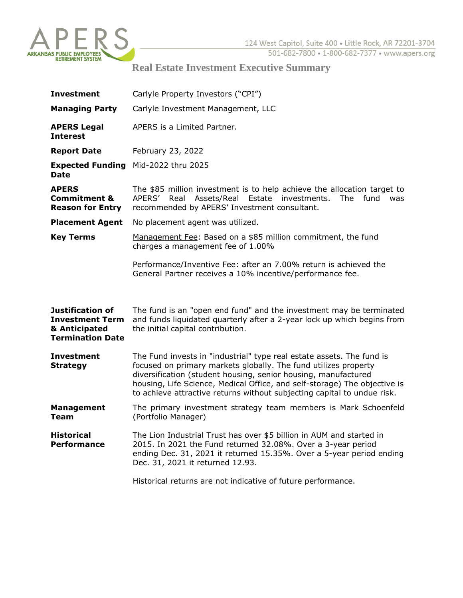

## **Real Estate Investment Executive Summary**

| <b>Investment</b>                                                                             | Carlyle Property Investors ("CPI")                                                                                                                                                                                                                                                                                                                                 |
|-----------------------------------------------------------------------------------------------|--------------------------------------------------------------------------------------------------------------------------------------------------------------------------------------------------------------------------------------------------------------------------------------------------------------------------------------------------------------------|
| <b>Managing Party</b>                                                                         | Carlyle Investment Management, LLC                                                                                                                                                                                                                                                                                                                                 |
| <b>APERS Legal</b><br><b>Interest</b>                                                         | APERS is a Limited Partner.                                                                                                                                                                                                                                                                                                                                        |
| <b>Report Date</b>                                                                            | February 23, 2022                                                                                                                                                                                                                                                                                                                                                  |
| <b>Date</b>                                                                                   | <b>Expected Funding</b> Mid-2022 thru 2025                                                                                                                                                                                                                                                                                                                         |
| <b>APERS</b><br><b>Commitment &amp;</b><br><b>Reason for Entry</b>                            | The \$85 million investment is to help achieve the allocation target to<br>APERS' Real Assets/Real Estate investments.<br>The fund<br>was<br>recommended by APERS' Investment consultant.                                                                                                                                                                          |
| <b>Placement Agent</b>                                                                        | No placement agent was utilized.                                                                                                                                                                                                                                                                                                                                   |
| <b>Key Terms</b>                                                                              | Management Fee: Based on a \$85 million commitment, the fund<br>charges a management fee of 1.00%                                                                                                                                                                                                                                                                  |
|                                                                                               | Performance/Inventive Fee: after an 7.00% return is achieved the<br>General Partner receives a 10% incentive/performance fee.                                                                                                                                                                                                                                      |
| <b>Justification of</b><br><b>Investment Term</b><br>& Anticipated<br><b>Termination Date</b> | The fund is an "open end fund" and the investment may be terminated<br>and funds liquidated quarterly after a 2-year lock up which begins from<br>the initial capital contribution.                                                                                                                                                                                |
| <b>Investment</b><br><b>Strategy</b>                                                          | The Fund invests in "industrial" type real estate assets. The fund is<br>focused on primary markets globally. The fund utilizes property<br>diversification (student housing, senior housing, manufactured<br>housing, Life Science, Medical Office, and self-storage) The objective is<br>to achieve attractive returns without subjecting capital to undue risk. |
| <b>Management</b><br><b>Team</b>                                                              | The primary investment strategy team members is Mark Schoenfeld<br>(Portfolio Manager)                                                                                                                                                                                                                                                                             |
| <b>Historical</b><br><b>Performance</b>                                                       | The Lion Industrial Trust has over \$5 billion in AUM and started in<br>2015. In 2021 the Fund returned 32.08%. Over a 3-year period<br>ending Dec. 31, 2021 it returned 15.35%. Over a 5-year period ending<br>Dec. 31, 2021 it returned 12.93.                                                                                                                   |
|                                                                                               | Historical returns are not indicative of future performance.                                                                                                                                                                                                                                                                                                       |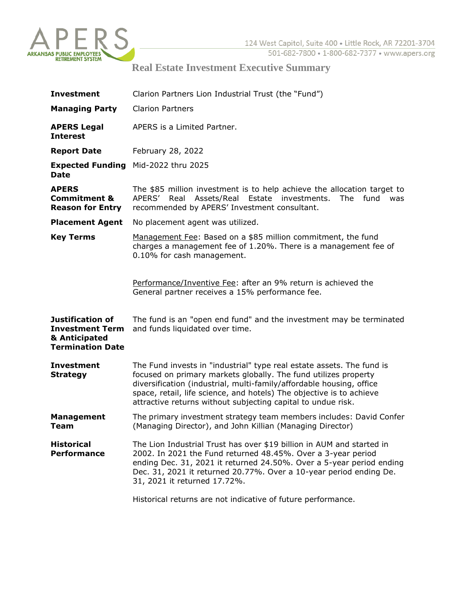

## **Real Estate Investment Executive Summary**

| <b>Investment</b>                                                                             | Clarion Partners Lion Industrial Trust (the "Fund")                                                                                                                                                                                                                                                                                                      |
|-----------------------------------------------------------------------------------------------|----------------------------------------------------------------------------------------------------------------------------------------------------------------------------------------------------------------------------------------------------------------------------------------------------------------------------------------------------------|
| <b>Managing Party</b>                                                                         | <b>Clarion Partners</b>                                                                                                                                                                                                                                                                                                                                  |
| <b>APERS Legal</b><br><b>Interest</b>                                                         | APERS is a Limited Partner.                                                                                                                                                                                                                                                                                                                              |
| <b>Report Date</b>                                                                            | February 28, 2022                                                                                                                                                                                                                                                                                                                                        |
| <b>Expected Funding</b><br><b>Date</b>                                                        | Mid-2022 thru 2025                                                                                                                                                                                                                                                                                                                                       |
| <b>APERS</b><br><b>Commitment &amp;</b><br><b>Reason for Entry</b>                            | The \$85 million investment is to help achieve the allocation target to<br>APERS'<br>Real Assets/Real Estate investments. The fund<br>was<br>recommended by APERS' Investment consultant.                                                                                                                                                                |
| <b>Placement Agent</b>                                                                        | No placement agent was utilized.                                                                                                                                                                                                                                                                                                                         |
| <b>Key Terms</b>                                                                              | Management Fee: Based on a \$85 million commitment, the fund<br>charges a management fee of 1.20%. There is a management fee of<br>0.10% for cash management.                                                                                                                                                                                            |
|                                                                                               | Performance/Inventive Fee: after an 9% return is achieved the<br>General partner receives a 15% performance fee.                                                                                                                                                                                                                                         |
| <b>Justification of</b><br><b>Investment Term</b><br>& Anticipated<br><b>Termination Date</b> | The fund is an "open end fund" and the investment may be terminated<br>and funds liquidated over time.                                                                                                                                                                                                                                                   |
| <b>Investment</b><br><b>Strategy</b>                                                          | The Fund invests in "industrial" type real estate assets. The fund is<br>focused on primary markets globally. The fund utilizes property<br>diversification (industrial, multi-family/affordable housing, office<br>space, retail, life science, and hotels) The objective is to achieve<br>attractive returns without subjecting capital to undue risk. |
| <b>Management</b><br>Team                                                                     | The primary investment strategy team members includes: David Confer<br>(Managing Director), and John Killian (Managing Director)                                                                                                                                                                                                                         |
| <b>Historical</b><br><b>Performance</b>                                                       | The Lion Industrial Trust has over \$19 billion in AUM and started in<br>2002. In 2021 the Fund returned 48.45%. Over a 3-year period<br>ending Dec. 31, 2021 it returned 24.50%. Over a 5-year period ending<br>Dec. 31, 2021 it returned 20.77%. Over a 10-year period ending De.<br>31, 2021 it returned 17.72%.                                      |
|                                                                                               | Historical returns are not indicative of future performance.                                                                                                                                                                                                                                                                                             |